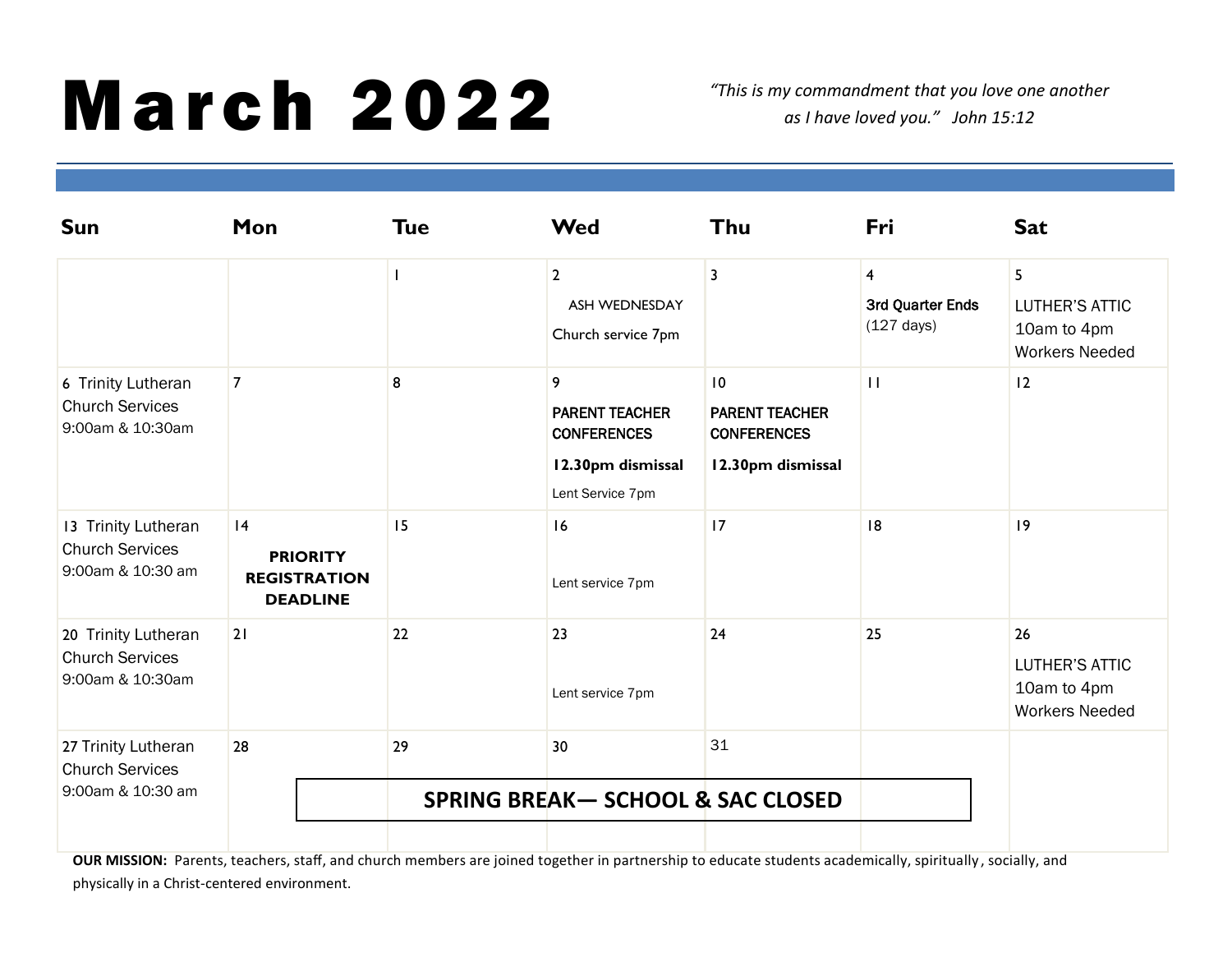## **March 2022**

*"This is my commandment that you love one another as I have loved you." John 15:12*

| Mon            | <b>Tue</b>                                                |                |               | Thu                                                                                                                                                                                | Fri                                                        | <b>Sat</b>                                                          |
|----------------|-----------------------------------------------------------|----------------|---------------|------------------------------------------------------------------------------------------------------------------------------------------------------------------------------------|------------------------------------------------------------|---------------------------------------------------------------------|
|                |                                                           | $\overline{2}$ | ASH WEDNESDAY | 3                                                                                                                                                                                  | $\overline{4}$<br>3rd Quarter Ends<br>$(127 \text{ days})$ | 5<br><b>LUTHER'S ATTIC</b><br>10am to 4pm<br><b>Workers Needed</b>  |
| $\overline{7}$ | 8                                                         | 9              |               | 10<br><b>PARENT TEACHER</b><br><b>CONFERENCES</b><br>12.30pm dismissal                                                                                                             | $\mathbf{H}$                                               | 12                                                                  |
| 4              | 15                                                        |                |               | 17                                                                                                                                                                                 | 8                                                          | 9                                                                   |
| 21             | 22                                                        |                |               | 24                                                                                                                                                                                 | 25                                                         | 26<br><b>LUTHER'S ATTIC</b><br>10am to 4pm<br><b>Workers Needed</b> |
| 28             | 29                                                        |                |               | 31                                                                                                                                                                                 |                                                            |                                                                     |
|                | <b>SPRING BREAK-SCHOOL &amp; SAC CLOSED</b>               |                |               |                                                                                                                                                                                    |                                                            |                                                                     |
|                | <b>PRIORITY</b><br><b>REGISTRATION</b><br><b>DEADLINE</b> |                |               | <b>Wed</b><br>Church service 7pm<br><b>PARENT TEACHER</b><br><b>CONFERENCES</b><br>12.30pm dismissal<br>Lent Service 7pm<br>16<br>Lent service 7pm<br>23<br>Lent service 7pm<br>30 |                                                            |                                                                     |

OUR MISSION: Parents, teachers, staff, and church members are joined together in partnership to educate students academically, spiritually, socially, and physically in a Christ-centered environment.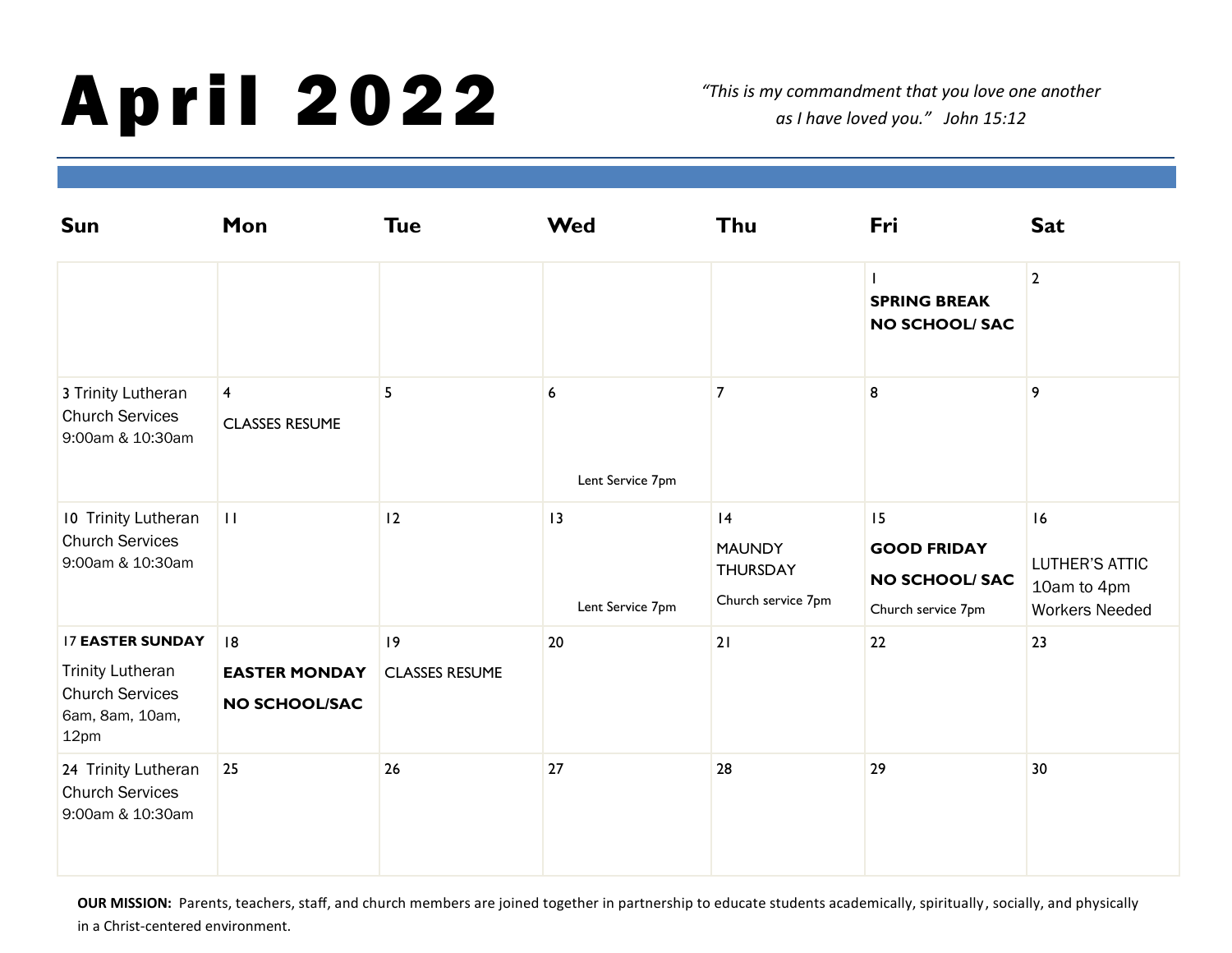## April 2022

*"This is my commandment that you love one another as I have loved you." John 15:12*

| <b>Sun</b>                                                                                              | Mon                                               | <b>Tue</b>                 | <b>Wed</b>             | Thu                                                         | Fri                                                                     | <b>Sat</b>                                                          |
|---------------------------------------------------------------------------------------------------------|---------------------------------------------------|----------------------------|------------------------|-------------------------------------------------------------|-------------------------------------------------------------------------|---------------------------------------------------------------------|
|                                                                                                         |                                                   |                            |                        |                                                             | <b>SPRING BREAK</b><br><b>NO SCHOOL/ SAC</b>                            | $\overline{2}$                                                      |
| 3 Trinity Lutheran<br><b>Church Services</b><br>9:00am & 10:30am                                        | $\overline{\mathbf{4}}$<br><b>CLASSES RESUME</b>  | 5                          | 6<br>Lent Service 7pm  | $\overline{7}$                                              | 8                                                                       | 9                                                                   |
| 10 Trinity Lutheran<br><b>Church Services</b><br>9:00am & 10:30am                                       | $\mathbf{H}$                                      | 12                         | 13<br>Lent Service 7pm | 4<br><b>MAUNDY</b><br><b>THURSDAY</b><br>Church service 7pm | 15<br><b>GOOD FRIDAY</b><br><b>NO SCHOOL/ SAC</b><br>Church service 7pm | 16<br><b>LUTHER'S ATTIC</b><br>10am to 4pm<br><b>Workers Needed</b> |
| <b>17 EASTER SUNDAY</b><br><b>Trinity Lutheran</b><br><b>Church Services</b><br>6am, 8am, 10am,<br>12pm | 8<br><b>EASTER MONDAY</b><br><b>NO SCHOOL/SAC</b> | 9<br><b>CLASSES RESUME</b> | 20                     | 21                                                          | 22                                                                      | 23                                                                  |
| 24 Trinity Lutheran<br><b>Church Services</b><br>9:00am & 10:30am                                       | 25                                                | 26                         | 27                     | 28                                                          | 29                                                                      | 30                                                                  |

OUR MISSION: Parents, teachers, staff, and church members are joined together in partnership to educate students academically, spiritually, socially, and physically in a Christ-centered environment.